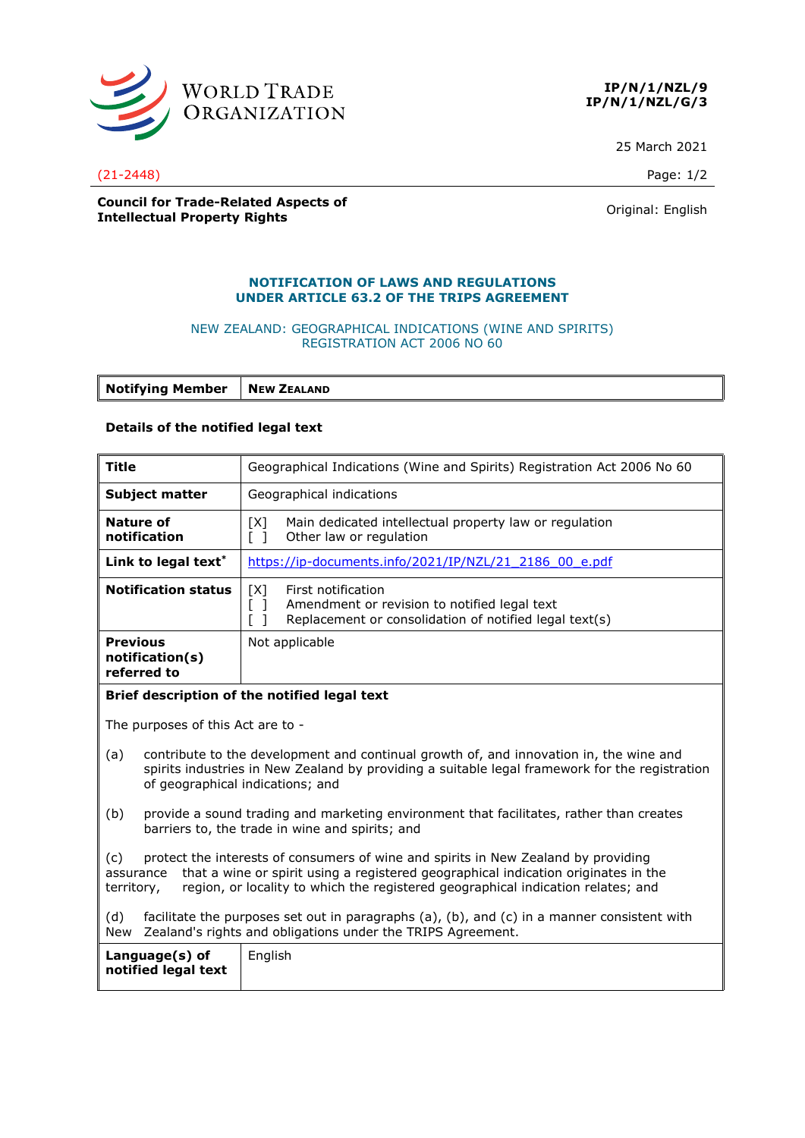



25 March 2021

(21-2448) Page: 1/2

## **Council for Trade-Related Aspects of Intellectual Property Rights Council Property Rights Council Property Rights Original:** English

#### **NOTIFICATION OF LAWS AND REGULATIONS UNDER ARTICLE 63.2 OF THE TRIPS AGREEMENT**

## NEW ZEALAND: GEOGRAPHICAL INDICATIONS (WINE AND SPIRITS) REGISTRATION ACT 2006 NO 60

**Notifying Member** | **NEW ZEALAND** 

### **Details of the notified legal text**

| <b>Title</b>                                                                                                                                                                                                                                                                                   | Geographical Indications (Wine and Spirits) Registration Act 2006 No 60                                                                                            |  |
|------------------------------------------------------------------------------------------------------------------------------------------------------------------------------------------------------------------------------------------------------------------------------------------------|--------------------------------------------------------------------------------------------------------------------------------------------------------------------|--|
| <b>Subject matter</b>                                                                                                                                                                                                                                                                          | Geographical indications                                                                                                                                           |  |
| Nature of<br>notification                                                                                                                                                                                                                                                                      | Main dedicated intellectual property law or regulation<br>[X]<br>Other law or regulation<br>$\lceil \; \rceil$                                                     |  |
| Link to legal text*                                                                                                                                                                                                                                                                            | https://ip-documents.info/2021/IP/NZL/21 2186 00 e.pdf                                                                                                             |  |
| <b>Notification status</b>                                                                                                                                                                                                                                                                     | [X]<br>First notification<br>$[\ ]$<br>Amendment or revision to notified legal text<br>Replacement or consolidation of notified legal text(s)<br>$\lceil$ $\rceil$ |  |
| <b>Previous</b><br>notification(s)<br>referred to                                                                                                                                                                                                                                              | Not applicable                                                                                                                                                     |  |
| Brief description of the notified legal text                                                                                                                                                                                                                                                   |                                                                                                                                                                    |  |
| The purposes of this Act are to -                                                                                                                                                                                                                                                              |                                                                                                                                                                    |  |
| contribute to the development and continual growth of, and innovation in, the wine and<br>(a)<br>spirits industries in New Zealand by providing a suitable legal framework for the registration<br>of geographical indications; and                                                            |                                                                                                                                                                    |  |
| provide a sound trading and marketing environment that facilitates, rather than creates<br>(b)<br>barriers to, the trade in wine and spirits; and                                                                                                                                              |                                                                                                                                                                    |  |
| protect the interests of consumers of wine and spirits in New Zealand by providing<br>(c)<br>that a wine or spirit using a registered geographical indication originates in the<br>assurance<br>region, or locality to which the registered geographical indication relates; and<br>territory, |                                                                                                                                                                    |  |
| (d)<br>facilitate the purposes set out in paragraphs (a), (b), and (c) in a manner consistent with<br>Zealand's rights and obligations under the TRIPS Agreement.<br>New                                                                                                                       |                                                                                                                                                                    |  |
| English<br>Language(s) of<br>notified legal text                                                                                                                                                                                                                                               |                                                                                                                                                                    |  |